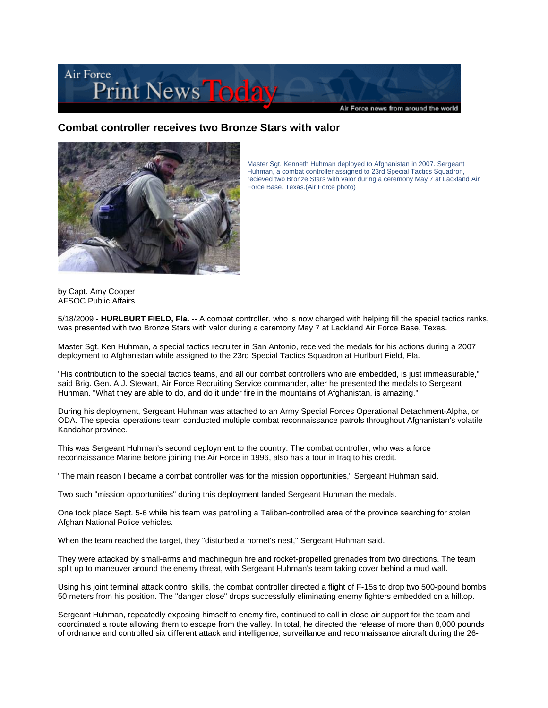

## **Combat controller receives two Bronze Stars with valor**



Master Sgt. Kenneth Huhman deployed to Afghanistan in 2007. Sergeant Huhman, a combat controller assigned to 23rd Special Tactics Squadron, recieved two Bronze Stars with valor during a ceremony May 7 at Lackland Air Force Base, Texas.(Air Force photo)

by Capt. Amy Cooper AFSOC Public Affairs

5/18/2009 - **HURLBURT FIELD, Fla.** -- A combat controller, who is now charged with helping fill the special tactics ranks, was presented with two Bronze Stars with valor during a ceremony May 7 at Lackland Air Force Base, Texas.

Master Sgt. Ken Huhman, a special tactics recruiter in San Antonio, received the medals for his actions during a 2007 deployment to Afghanistan while assigned to the 23rd Special Tactics Squadron at Hurlburt Field, Fla.

"His contribution to the special tactics teams, and all our combat controllers who are embedded, is just immeasurable," said Brig. Gen. A.J. Stewart, Air Force Recruiting Service commander, after he presented the medals to Sergeant Huhman. "What they are able to do, and do it under fire in the mountains of Afghanistan, is amazing."

During his deployment, Sergeant Huhman was attached to an Army Special Forces Operational Detachment-Alpha, or ODA. The special operations team conducted multiple combat reconnaissance patrols throughout Afghanistan's volatile Kandahar province.

This was Sergeant Huhman's second deployment to the country. The combat controller, who was a force reconnaissance Marine before joining the Air Force in 1996, also has a tour in Iraq to his credit.

"The main reason I became a combat controller was for the mission opportunities," Sergeant Huhman said.

Two such "mission opportunities" during this deployment landed Sergeant Huhman the medals.

One took place Sept. 5-6 while his team was patrolling a Taliban-controlled area of the province searching for stolen Afghan National Police vehicles.

When the team reached the target, they "disturbed a hornet's nest," Sergeant Huhman said.

They were attacked by small-arms and machinegun fire and rocket-propelled grenades from two directions. The team split up to maneuver around the enemy threat, with Sergeant Huhman's team taking cover behind a mud wall.

Using his joint terminal attack control skills, the combat controller directed a flight of F-15s to drop two 500-pound bombs 50 meters from his position. The "danger close" drops successfully eliminating enemy fighters embedded on a hilltop.

Sergeant Huhman, repeatedly exposing himself to enemy fire, continued to call in close air support for the team and coordinated a route allowing them to escape from the valley. In total, he directed the release of more than 8,000 pounds of ordnance and controlled six different attack and intelligence, surveillance and reconnaissance aircraft during the 26-